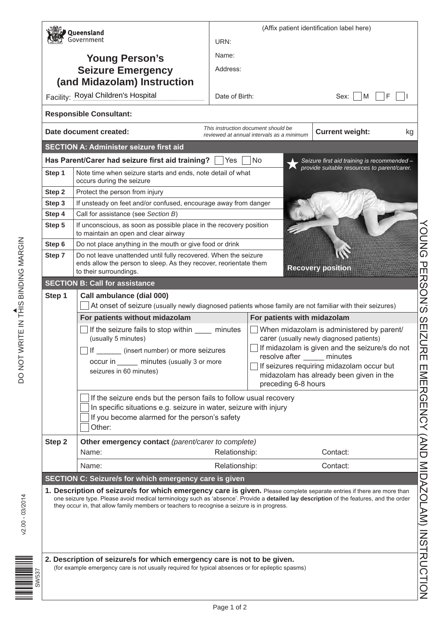|                                                                                                                                        | Queensland<br>Government                                                                                                                                                                        | (Affix patient identification label here)<br>URN:     |                                                                                                  |                                                                                            |                              |  |                                                         |
|----------------------------------------------------------------------------------------------------------------------------------------|-------------------------------------------------------------------------------------------------------------------------------------------------------------------------------------------------|-------------------------------------------------------|--------------------------------------------------------------------------------------------------|--------------------------------------------------------------------------------------------|------------------------------|--|---------------------------------------------------------|
|                                                                                                                                        |                                                                                                                                                                                                 |                                                       |                                                                                                  |                                                                                            |                              |  |                                                         |
|                                                                                                                                        | <b>Young Person's</b>                                                                                                                                                                           | Name:                                                 |                                                                                                  |                                                                                            |                              |  |                                                         |
|                                                                                                                                        | <b>Seizure Emergency</b>                                                                                                                                                                        | Address:                                              |                                                                                                  |                                                                                            |                              |  |                                                         |
|                                                                                                                                        | (and Midazolam) Instruction                                                                                                                                                                     |                                                       |                                                                                                  |                                                                                            |                              |  |                                                         |
|                                                                                                                                        | Facility: Royal Children's Hospital                                                                                                                                                             | Date of Birth:                                        |                                                                                                  | Sex:<br>M                                                                                  | F                            |  |                                                         |
|                                                                                                                                        | <b>Responsible Consultant:</b>                                                                                                                                                                  |                                                       |                                                                                                  |                                                                                            |                              |  |                                                         |
|                                                                                                                                        | Date document created:                                                                                                                                                                          |                                                       | This instruction document should be<br>reviewed at annual intervals as a minimum                 | <b>Current weight:</b>                                                                     | kg                           |  |                                                         |
|                                                                                                                                        | <b>SECTION A: Administer seizure first aid</b>                                                                                                                                                  |                                                       |                                                                                                  |                                                                                            |                              |  |                                                         |
|                                                                                                                                        | Has Parent/Carer had seizure first aid training?                                                                                                                                                | Yes                                                   | No                                                                                               | Seizure first aid training is recommended -<br>provide suitable resources to parent/carer. |                              |  |                                                         |
| Step 1                                                                                                                                 | Note time when seizure starts and ends, note detail of what<br>occurs during the seizure                                                                                                        |                                                       |                                                                                                  |                                                                                            |                              |  |                                                         |
| Step 2                                                                                                                                 | Protect the person from injury                                                                                                                                                                  |                                                       |                                                                                                  |                                                                                            |                              |  |                                                         |
| Step 3                                                                                                                                 | If unsteady on feet and/or confused, encourage away from danger                                                                                                                                 |                                                       |                                                                                                  |                                                                                            |                              |  |                                                         |
| Step 4                                                                                                                                 | Call for assistance (see Section B)                                                                                                                                                             |                                                       |                                                                                                  |                                                                                            |                              |  |                                                         |
| Step 5                                                                                                                                 | If unconscious, as soon as possible place in the recovery position<br>to maintain an open and clear airway                                                                                      |                                                       |                                                                                                  |                                                                                            |                              |  |                                                         |
| Step 6                                                                                                                                 | Do not place anything in the mouth or give food or drink                                                                                                                                        |                                                       |                                                                                                  |                                                                                            | <b>DNG</b>                   |  |                                                         |
| Step 7                                                                                                                                 | Do not leave unattended until fully recovered. When the seizure<br>ends allow the person to sleep. As they recover, reorientate them<br>모<br><b>Recovery position</b><br>to their surroundings. |                                                       |                                                                                                  |                                                                                            |                              |  |                                                         |
|                                                                                                                                        | <b>SECTION B: Call for assistance</b>                                                                                                                                                           |                                                       |                                                                                                  |                                                                                            | <b>RSON'S</b>                |  |                                                         |
| Step 1                                                                                                                                 | Call ambulance (dial 000)<br>At onset of seizure (usually newly diagnosed patients whose family are not familiar with their seizures)                                                           |                                                       |                                                                                                  |                                                                                            |                              |  |                                                         |
|                                                                                                                                        | For patients without midazolam                                                                                                                                                                  |                                                       | For patients with midazolam                                                                      |                                                                                            |                              |  |                                                         |
|                                                                                                                                        | If the seizure fails to stop within ______<br>(usually 5 minutes)                                                                                                                               |                                                       | When midazolam is administered by parent/<br>minutes<br>carer (usually newly diagnosed patients) |                                                                                            |                              |  |                                                         |
|                                                                                                                                        | If ________ (insert number) or more seizures                                                                                                                                                    | $\Box$ If midazolam is given and the seizure/s do not |                                                                                                  |                                                                                            |                              |  |                                                         |
|                                                                                                                                        | occur in _______ minutes (usually 3 or more                                                                                                                                                     |                                                       | resolve after                                                                                    | minutes                                                                                    | 刀<br>m                       |  |                                                         |
|                                                                                                                                        | seizures in 60 minutes)                                                                                                                                                                         |                                                       |                                                                                                  | If seizures requiring midazolam occur but                                                  |                              |  |                                                         |
|                                                                                                                                        | midazolam has already been given in the<br>preceding 6-8 hours                                                                                                                                  |                                                       |                                                                                                  |                                                                                            |                              |  |                                                         |
| If the seizure ends but the person fails to follow usual recovery<br>In specific situations e.g. seizure in water, seizure with injury |                                                                                                                                                                                                 |                                                       |                                                                                                  |                                                                                            |                              |  |                                                         |
|                                                                                                                                        |                                                                                                                                                                                                 |                                                       |                                                                                                  |                                                                                            |                              |  | If you become alarmed for the person's safety<br>Other: |
| Step 2                                                                                                                                 | Other emergency contact (parent/carer to complete)                                                                                                                                              |                                                       |                                                                                                  |                                                                                            |                              |  |                                                         |
|                                                                                                                                        | Name:                                                                                                                                                                                           | Relationship:                                         |                                                                                                  | Contact:                                                                                   |                              |  |                                                         |
|                                                                                                                                        | Name:                                                                                                                                                                                           | Relationship:                                         |                                                                                                  | Contact:                                                                                   |                              |  |                                                         |
|                                                                                                                                        | SECTION C: Seizure/s for which emergency care is given                                                                                                                                          |                                                       |                                                                                                  |                                                                                            |                              |  |                                                         |
|                                                                                                                                        | 1. Description of seizure/s for which emergency care is given. Please complete separate entries if there are more than                                                                          |                                                       |                                                                                                  |                                                                                            |                              |  |                                                         |
|                                                                                                                                        | one seizure type. Please avoid medical terminology such as 'absence'. Provide a detailed lay description of the features, and the order                                                         |                                                       |                                                                                                  |                                                                                            |                              |  |                                                         |
|                                                                                                                                        | they occur in, that allow family members or teachers to recognise a seizure is in progress.                                                                                                     |                                                       |                                                                                                  |                                                                                            |                              |  |                                                         |
|                                                                                                                                        |                                                                                                                                                                                                 |                                                       |                                                                                                  |                                                                                            |                              |  |                                                         |
|                                                                                                                                        |                                                                                                                                                                                                 |                                                       |                                                                                                  |                                                                                            |                              |  |                                                         |
|                                                                                                                                        |                                                                                                                                                                                                 |                                                       |                                                                                                  |                                                                                            |                              |  |                                                         |
|                                                                                                                                        | 2. Description of seizure/s for which emergency care is not to be given.                                                                                                                        |                                                       |                                                                                                  |                                                                                            | (AND MIDANOLAM) IN SHANOLION |  |                                                         |
| (for example emergency care is not usually required for typical absences or for epileptic spasms)                                      |                                                                                                                                                                                                 |                                                       |                                                                                                  |                                                                                            |                              |  |                                                         |
|                                                                                                                                        |                                                                                                                                                                                                 |                                                       |                                                                                                  |                                                                                            |                              |  |                                                         |
|                                                                                                                                        |                                                                                                                                                                                                 |                                                       |                                                                                                  |                                                                                            |                              |  |                                                         |

ÎSWETE<br>ÎSWEDI

SW537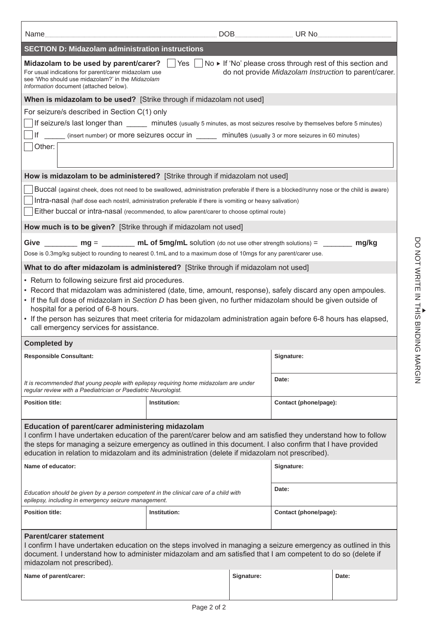| <b>SECTION D: Midazolam administration instructions</b>                                                                                                                                                                                                                                                                   |                                                                                                               |            |                       |       |  |  |  |
|---------------------------------------------------------------------------------------------------------------------------------------------------------------------------------------------------------------------------------------------------------------------------------------------------------------------------|---------------------------------------------------------------------------------------------------------------|------------|-----------------------|-------|--|--|--|
| No ► If 'No' please cross through rest of this section and<br>Midazolam to be used by parent/carer?<br>Yes<br>do not provide Midazolam Instruction to parent/carer.<br>For usual indications for parent/carer midazolam use<br>see 'Who should use midazolam?' in the Midazolam<br>Information document (attached below). |                                                                                                               |            |                       |       |  |  |  |
| When is midazolam to be used? [Strike through if midazolam not used]                                                                                                                                                                                                                                                      |                                                                                                               |            |                       |       |  |  |  |
| For seizure/s described in Section C(1) only                                                                                                                                                                                                                                                                              |                                                                                                               |            |                       |       |  |  |  |
| If seizure/s last longer than _____ minutes (usually 5 minutes, as most seizures resolve by themselves before 5 minutes)                                                                                                                                                                                                  |                                                                                                               |            |                       |       |  |  |  |
| Other:                                                                                                                                                                                                                                                                                                                    | If ______ (insert number) Or more seizures occur in ______ minutes (usually 3 or more seizures in 60 minutes) |            |                       |       |  |  |  |
|                                                                                                                                                                                                                                                                                                                           |                                                                                                               |            |                       |       |  |  |  |
| How is midazolam to be administered? [Strike through if midazolam not used]                                                                                                                                                                                                                                               |                                                                                                               |            |                       |       |  |  |  |
| Buccal (against cheek, does not need to be swallowed, administration preferable if there is a blocked/runny nose or the child is aware)                                                                                                                                                                                   |                                                                                                               |            |                       |       |  |  |  |
| Intra-nasal (half dose each nostril, administration preferable if there is vomiting or heavy salivation)<br>Either buccal or intra-nasal (recommended, to allow parent/carer to choose optimal route)                                                                                                                     |                                                                                                               |            |                       |       |  |  |  |
|                                                                                                                                                                                                                                                                                                                           |                                                                                                               |            |                       |       |  |  |  |
| How much is to be given? [Strike through if midazolam not used]                                                                                                                                                                                                                                                           |                                                                                                               |            |                       |       |  |  |  |
| Give $\frac{m}{m}$ mg = $\frac{m}{m}$ mL of 5mg/mL solution (do not use other strength solutions) = $\frac{m}{m}$<br>Dose is 0.3mg/kg subject to rounding to nearest 0.1mL and to a maximum dose of 10mgs for any parent/carer use.                                                                                       |                                                                                                               |            |                       | mg/kg |  |  |  |
| What to do after midazolam is administered? [Strike through if midazolam not used]                                                                                                                                                                                                                                        |                                                                                                               |            |                       |       |  |  |  |
| • Return to following seizure first aid procedures.                                                                                                                                                                                                                                                                       |                                                                                                               |            |                       |       |  |  |  |
| • Record that midazolam was administered (date, time, amount, response), safely discard any open ampoules.                                                                                                                                                                                                                |                                                                                                               |            |                       |       |  |  |  |
| • If the full dose of midazolam in Section D has been given, no further midazolam should be given outside of<br>hospital for a period of 6-8 hours.                                                                                                                                                                       |                                                                                                               |            |                       |       |  |  |  |
| • If the person has seizures that meet criteria for midazolam administration again before 6-8 hours has elapsed,                                                                                                                                                                                                          |                                                                                                               |            |                       |       |  |  |  |
| call emergency services for assistance.                                                                                                                                                                                                                                                                                   |                                                                                                               |            |                       |       |  |  |  |
| <b>Completed by</b>                                                                                                                                                                                                                                                                                                       |                                                                                                               |            |                       |       |  |  |  |
| <b>Responsible Consultant:</b>                                                                                                                                                                                                                                                                                            |                                                                                                               |            | Signature:            |       |  |  |  |
| It is recommended that young people with epilepsy requiring home midazolam are under<br>regular review with a Paediatrician or Paediatric Neurologist.                                                                                                                                                                    |                                                                                                               |            | Date:                 |       |  |  |  |
| <b>Position title:</b>                                                                                                                                                                                                                                                                                                    | Institution:                                                                                                  |            | Contact (phone/page): |       |  |  |  |
|                                                                                                                                                                                                                                                                                                                           |                                                                                                               |            |                       |       |  |  |  |
| Education of parent/carer administering midazolam<br>I confirm I have undertaken education of the parent/carer below and am satisfied they understand how to follow                                                                                                                                                       |                                                                                                               |            |                       |       |  |  |  |
| the steps for managing a seizure emergency as outlined in this document. I also confirm that I have provided<br>education in relation to midazolam and its administration (delete if midazolam not prescribed).                                                                                                           |                                                                                                               |            |                       |       |  |  |  |
| Name of educator:                                                                                                                                                                                                                                                                                                         |                                                                                                               |            | Signature:            |       |  |  |  |
|                                                                                                                                                                                                                                                                                                                           |                                                                                                               |            |                       |       |  |  |  |
| Education should be given by a person competent in the clinical care of a child with<br>epilepsy, including in emergency seizure management.                                                                                                                                                                              | Date:                                                                                                         |            |                       |       |  |  |  |
| <b>Position title:</b><br>Institution:                                                                                                                                                                                                                                                                                    |                                                                                                               |            | Contact (phone/page): |       |  |  |  |
| Parent/carer statement                                                                                                                                                                                                                                                                                                    |                                                                                                               |            |                       |       |  |  |  |
| I confirm I have undertaken education on the steps involved in managing a seizure emergency as outlined in this<br>document. I understand how to administer midazolam and am satisfied that I am competent to do so (delete if<br>midazolam not prescribed).                                                              |                                                                                                               |            |                       |       |  |  |  |
| Name of parent/carer:                                                                                                                                                                                                                                                                                                     |                                                                                                               | Signature: |                       | Date: |  |  |  |
|                                                                                                                                                                                                                                                                                                                           |                                                                                                               |            |                       |       |  |  |  |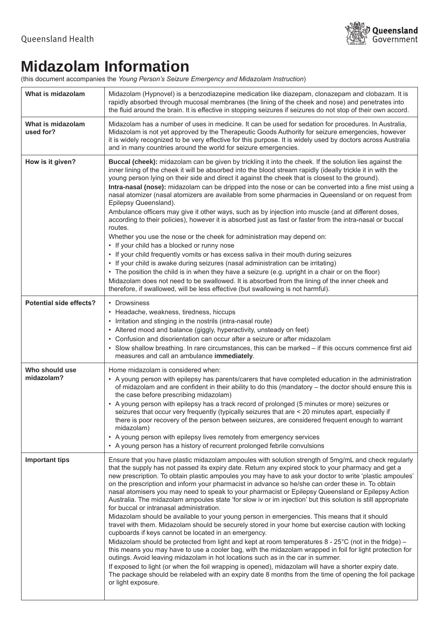

## **Midazolam Information**

(this document accompanies the *Young Person's Seizure Emergency and Midazolam Instruction*)

| What is midazolam              | Midazolam (Hypnovel) is a benzodiazepine medication like diazepam, clonazepam and clobazam. It is<br>rapidly absorbed through mucosal membranes (the lining of the cheek and nose) and penetrates into<br>the fluid around the brain. It is effective in stopping seizures if seizures do not stop of their own accord.                                                                                                                                                                                                                                                                                                                                                                                                                                                                                                                                                                                                                                                                                                                                                                                                                                                                                                                                                                                                                                                                                                                                                                                                   |
|--------------------------------|---------------------------------------------------------------------------------------------------------------------------------------------------------------------------------------------------------------------------------------------------------------------------------------------------------------------------------------------------------------------------------------------------------------------------------------------------------------------------------------------------------------------------------------------------------------------------------------------------------------------------------------------------------------------------------------------------------------------------------------------------------------------------------------------------------------------------------------------------------------------------------------------------------------------------------------------------------------------------------------------------------------------------------------------------------------------------------------------------------------------------------------------------------------------------------------------------------------------------------------------------------------------------------------------------------------------------------------------------------------------------------------------------------------------------------------------------------------------------------------------------------------------------|
| What is midazolam<br>used for? | Midazolam has a number of uses in medicine. It can be used for sedation for procedures. In Australia,<br>Midazolam is not yet approved by the Therapeutic Goods Authority for seizure emergencies, however<br>it is widely recognized to be very effective for this purpose. It is widely used by doctors across Australia<br>and in many countries around the world for seizure emergencies.                                                                                                                                                                                                                                                                                                                                                                                                                                                                                                                                                                                                                                                                                                                                                                                                                                                                                                                                                                                                                                                                                                                             |
| How is it given?               | Buccal (cheek): midazolam can be given by trickling it into the cheek. If the solution lies against the<br>inner lining of the cheek it will be absorbed into the blood stream rapidly (ideally trickle it in with the<br>young person lying on their side and direct it against the cheek that is closest to the ground).<br>Intra-nasal (nose): midazolam can be dripped into the nose or can be converted into a fine mist using a<br>nasal atomizer (nasal atomizers are available from some pharmacies in Queensland or on request from<br>Epilepsy Queensland).<br>Ambulance officers may give it other ways, such as by injection into muscle (and at different doses,<br>according to their policies), however it is absorbed just as fast or faster from the intra-nasal or buccal<br>routes.<br>Whether you use the nose or the cheek for administration may depend on:<br>• If your child has a blocked or runny nose<br>• If your child frequently vomits or has excess saliva in their mouth during seizures<br>• If your child is awake during seizures (nasal administration can be irritating)<br>• The position the child is in when they have a seizure (e.g. upright in a chair or on the floor)<br>Midazolam does not need to be swallowed. It is absorbed from the lining of the inner cheek and<br>therefore, if swallowed, will be less effective (but swallowing is not harmful).                                                                                                                 |
| <b>Potential side effects?</b> | • Drowsiness<br>• Headache, weakness, tiredness, hiccups<br>• Irritation and stinging in the nostrils (intra-nasal route)<br>• Altered mood and balance (giggly, hyperactivity, unsteady on feet)<br>• Confusion and disorientation can occur after a seizure or after midazolam<br>• Slow shallow breathing. In rare circumstances, this can be marked - if this occurs commence first aid<br>measures and call an ambulance immediately.                                                                                                                                                                                                                                                                                                                                                                                                                                                                                                                                                                                                                                                                                                                                                                                                                                                                                                                                                                                                                                                                                |
| Who should use<br>midazolam?   | Home midazolam is considered when:<br>• A young person with epilepsy has parents/carers that have completed education in the administration<br>of midazolam and are confident in their ability to do this (mandatory - the doctor should ensure this is<br>the case before prescribing midazolam)<br>• A young person with epilepsy has a track record of prolonged (5 minutes or more) seizures or<br>seizures that occur very frequently (typically seizures that are < 20 minutes apart, especially if<br>there is poor recovery of the person between seizures, are considered frequent enough to warrant<br>midazolam)<br>• A young person with epilepsy lives remotely from emergency services<br>• A young person has a history of recurrent prolonged febrile convulsions                                                                                                                                                                                                                                                                                                                                                                                                                                                                                                                                                                                                                                                                                                                                         |
| <b>Important tips</b>          | Ensure that you have plastic midazolam ampoules with solution strength of 5mg/mL and check regularly<br>that the supply has not passed its expiry date. Return any expired stock to your pharmacy and get a<br>new prescription. To obtain plastic ampoules you may have to ask your doctor to write 'plastic ampoules'<br>on the prescription and inform your pharmacist in advance so he/she can order these in. To obtain<br>nasal atomisers you may need to speak to your pharmacist or Epilepsy Queensland or Epilepsy Action<br>Australia. The midazolam ampoules state 'for slow iv or im injection' but this solution is still appropriate<br>for buccal or intranasal administration.<br>Midazolam should be available to your young person in emergencies. This means that it should<br>travel with them. Midazolam should be securely stored in your home but exercise caution with locking<br>cupboards if keys cannot be located in an emergency.<br>Midazolam should be protected from light and kept at room temperatures $8 - 25^{\circ}$ C (not in the fridge) –<br>this means you may have to use a cooler bag, with the midazolam wrapped in foil for light protection for<br>outings. Avoid leaving midazolam in hot locations such as in the car in summer.<br>If exposed to light (or when the foil wrapping is opened), midazolam will have a shorter expiry date.<br>The package should be relabeled with an expiry date 8 months from the time of opening the foil package<br>or light exposure. |